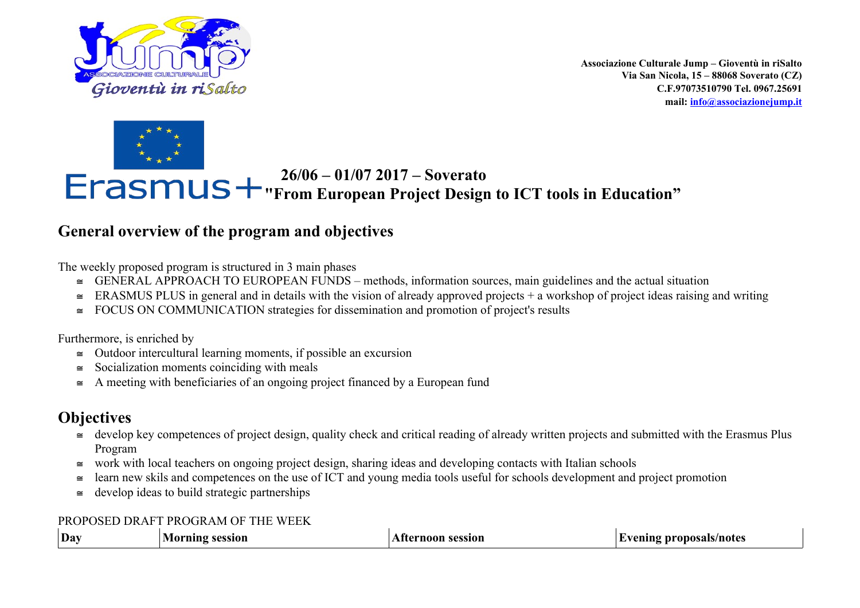

**Associazione Culturale Jump – Gioventù in riSalto Via San Nicola, 15 – 88068 Soverato (CZ) C.F.97073510790 Tel. 0967.25691 mail: [info@associazionejump.it](mailto:info@associazionejump.it)**



 **26/06 – 01/07 2017 – Soverato "From European Project Design to ICT tools in Education"**

## **General overview of the program and objectives**

The weekly proposed program is structured in 3 main phases

- $\leq$  GENERAL APPROACH TO EUROPEAN FUNDS methods, information sources, main guidelines and the actual situation
- $\leq$  ERASMUS PLUS in general and in details with the vision of already approved projects + a workshop of project ideas raising and writing
- $\approx$  FOCUS ON COMMUNICATION strategies for dissemination and promotion of project's results

Furthermore, is enriched by

- $\approx$  Outdoor intercultural learning moments, if possible an excursion
- $\approx$  Socialization moments coinciding with meals
- $\approx$  A meeting with beneficiaries of an ongoing project financed by a European fund

## **Objectives**

- $\approx$  develop key competences of project design, quality check and critical reading of already written projects and submitted with the Erasmus Plus Program
- $\approx$  work with local teachers on ongoing project design, sharing ideas and developing contacts with Italian schools
- learn new skils and competences on the use of ICT and young media tools useful for schools development and project promotion
- $\approx$  develop ideas to build strategic partnerships

## PROPOSED DRAFT PROGRAM OF THE WEEK

| $ $ Day | $\sim$ $\sim$ $\sim$ $\sim$<br>808810V | ALAM<br>,,,,,,, | masals/natas |
|---------|----------------------------------------|-----------------|--------------|
|         |                                        |                 |              |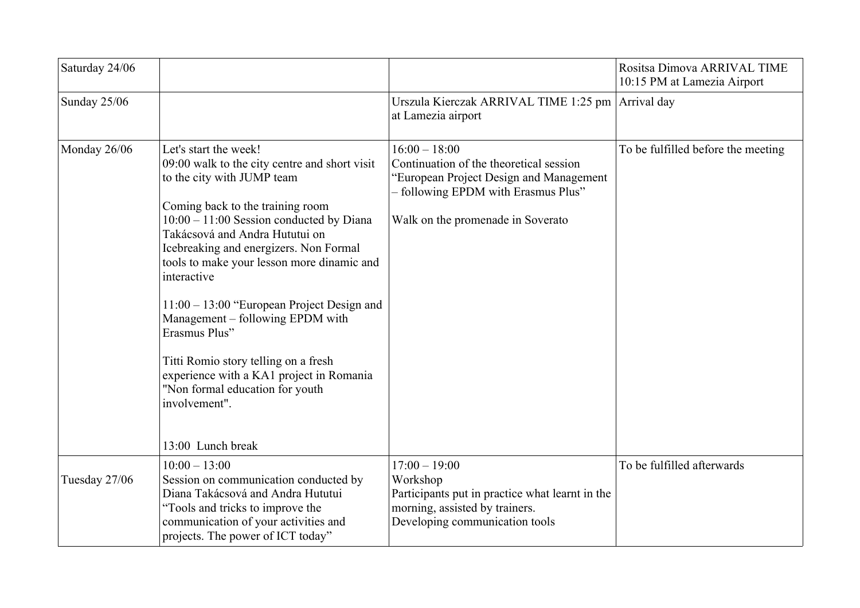| Saturday 24/06 |                                                                                                                                                                                                                                                                                                                                                                                                                                                                                                                                                                                                   |                                                                                                                                                                                   | Rositsa Dimova ARRIVAL TIME<br>10:15 PM at Lamezia Airport |
|----------------|---------------------------------------------------------------------------------------------------------------------------------------------------------------------------------------------------------------------------------------------------------------------------------------------------------------------------------------------------------------------------------------------------------------------------------------------------------------------------------------------------------------------------------------------------------------------------------------------------|-----------------------------------------------------------------------------------------------------------------------------------------------------------------------------------|------------------------------------------------------------|
| Sunday 25/06   |                                                                                                                                                                                                                                                                                                                                                                                                                                                                                                                                                                                                   | Urszula Kierczak ARRIVAL TIME 1:25 pm   Arrival day<br>at Lamezia airport                                                                                                         |                                                            |
| Monday 26/06   | Let's start the week!<br>09:00 walk to the city centre and short visit<br>to the city with JUMP team<br>Coming back to the training room<br>$10:00 - 11:00$ Session conducted by Diana<br>Takácsová and Andra Hututui on<br>Icebreaking and energizers. Non Formal<br>tools to make your lesson more dinamic and<br>interactive<br>$11:00 - 13:00$ "European Project Design and<br>Management - following EPDM with<br>Erasmus Plus"<br>Titti Romio story telling on a fresh<br>experience with a KA1 project in Romania<br>"Non formal education for youth<br>involvement".<br>13:00 Lunch break | $16:00 - 18:00$<br>Continuation of the theoretical session<br>"European Project Design and Management<br>- following EPDM with Erasmus Plus"<br>Walk on the promenade in Soverato | To be fulfilled before the meeting                         |
| Tuesday 27/06  | $10:00 - 13:00$<br>Session on communication conducted by<br>Diana Takácsová and Andra Hututui<br>"Tools and tricks to improve the<br>communication of your activities and<br>projects. The power of ICT today"                                                                                                                                                                                                                                                                                                                                                                                    | $17:00 - 19:00$<br>Workshop<br>Participants put in practice what learnt in the<br>morning, assisted by trainers.<br>Developing communication tools                                | To be fulfilled afterwards                                 |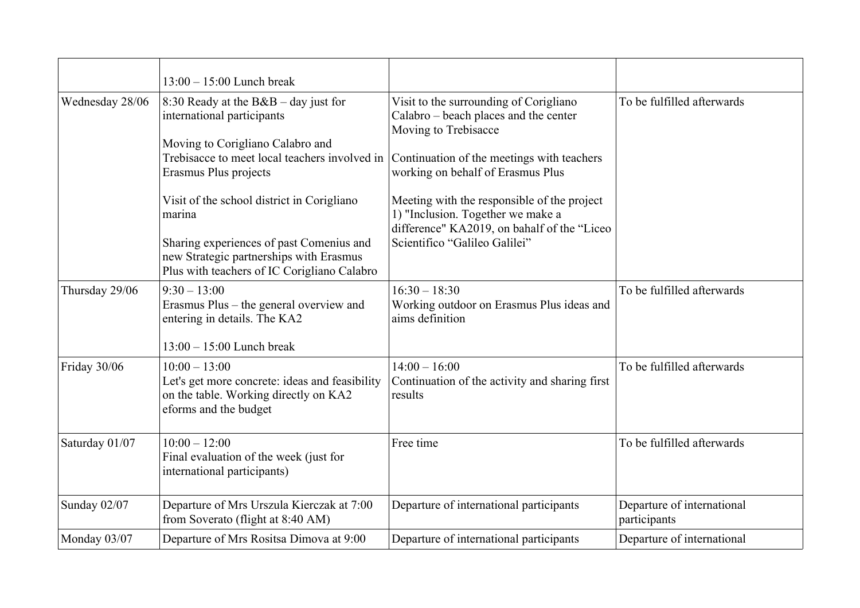|                     | $13:00 - 15:00$ Lunch break                                                                                                                                                                                                                                                                                                                                                      |                                                                                                                                                                                                                                                                                                                                                                |                                            |
|---------------------|----------------------------------------------------------------------------------------------------------------------------------------------------------------------------------------------------------------------------------------------------------------------------------------------------------------------------------------------------------------------------------|----------------------------------------------------------------------------------------------------------------------------------------------------------------------------------------------------------------------------------------------------------------------------------------------------------------------------------------------------------------|--------------------------------------------|
| Wednesday 28/06     | 8:30 Ready at the $B&B - day$ just for<br>international participants<br>Moving to Corigliano Calabro and<br>Trebisacce to meet local teachers involved in<br>Erasmus Plus projects<br>Visit of the school district in Corigliano<br>marina<br>Sharing experiences of past Comenius and<br>new Strategic partnerships with Erasmus<br>Plus with teachers of IC Corigliano Calabro | Visit to the surrounding of Corigliano<br>Calabro – beach places and the center<br>Moving to Trebisacce<br>Continuation of the meetings with teachers<br>working on behalf of Erasmus Plus<br>Meeting with the responsible of the project<br>1) "Inclusion. Together we make a<br>difference" KA2019, on bahalf of the "Liceo<br>Scientifico "Galileo Galilei" | To be fulfilled afterwards                 |
| Thursday 29/06      | $9:30 - 13:00$<br>Erasmus Plus - the general overview and<br>entering in details. The KA2<br>$13:00 - 15:00$ Lunch break                                                                                                                                                                                                                                                         | $16:30 - 18:30$<br>Working outdoor on Erasmus Plus ideas and<br>aims definition                                                                                                                                                                                                                                                                                | To be fulfilled afterwards                 |
| Friday 30/06        | $10:00 - 13:00$<br>Let's get more concrete: ideas and feasibility<br>on the table. Working directly on KA2<br>eforms and the budget                                                                                                                                                                                                                                              | $14:00 - 16:00$<br>Continuation of the activity and sharing first<br>results                                                                                                                                                                                                                                                                                   | To be fulfilled afterwards                 |
| Saturday 01/07      | $10:00 - 12:00$<br>Final evaluation of the week (just for<br>international participants)                                                                                                                                                                                                                                                                                         | Free time                                                                                                                                                                                                                                                                                                                                                      | To be fulfilled afterwards                 |
| <b>Sunday 02/07</b> | Departure of Mrs Urszula Kierczak at 7:00<br>from Soverato (flight at 8:40 AM)                                                                                                                                                                                                                                                                                                   | Departure of international participants                                                                                                                                                                                                                                                                                                                        | Departure of international<br>participants |
| Monday 03/07        | Departure of Mrs Rositsa Dimova at 9:00                                                                                                                                                                                                                                                                                                                                          | Departure of international participants                                                                                                                                                                                                                                                                                                                        | Departure of international                 |